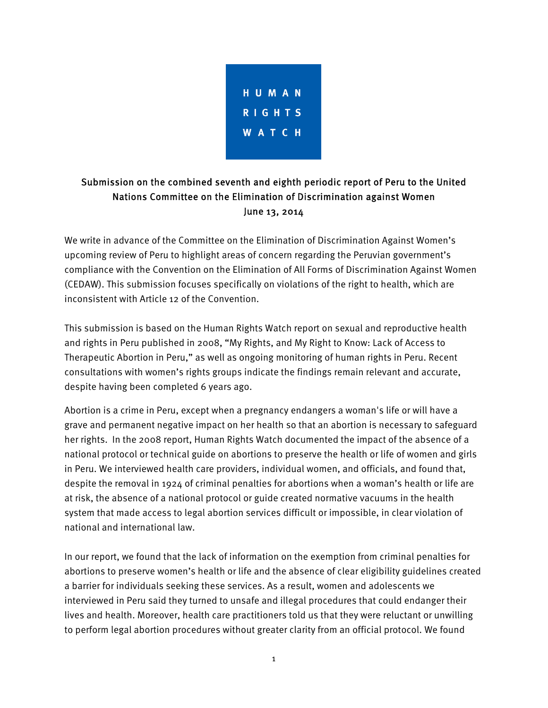

## Submission on the combined seventh and eighth periodic report of Peru to the United Nations Committee on the Elimination of Discrimination against Women June 13, 2014

We write in advance of the Committee on the Elimination of Discrimination Against Women's upcoming review of Peru to highlight areas of concern regarding the Peruvian government's compliance with the Convention on the Elimination of All Forms of Discrimination Against Women (CEDAW). This submission focuses specifically on violations of the right to health, which are inconsistent with Article 12 of the Convention.

This submission is based on the Human Rights Watch report on sexual and reproductive health and rights in Peru published in 2008, "My Rights, and My Right to Know: Lack of Access to Therapeutic Abortion in Peru," as well as ongoing monitoring of human rights in Peru. Recent consultations with women's rights groups indicate the findings remain relevant and accurate, despite having been completed 6 years ago.

Abortion is a crime in Peru, except when a pregnancy endangers a woman's life or will have a grave and permanent negative impact on her health so that an abortion is necessary to safeguard her rights. In the 2008 report, Human Rights Watch documented the impact of the absence of a national protocol or technical guide on abortions to preserve the health or life of women and girls in Peru. We interviewed health care providers, individual women, and officials, and found that, despite the removal in 1924 of criminal penalties for abortions when a woman's health or life are at risk, the absence of a national protocol or guide created normative vacuums in the health system that made access to legal abortion services difficult or impossible, in clear violation of national and international law.

In our report, we found that the lack of information on the exemption from criminal penalties for abortions to preserve women's health or life and the absence of clear eligibility guidelines created a barrier for individuals seeking these services. As a result, women and adolescents we interviewed in Peru said they turned to unsafe and illegal procedures that could endanger their lives and health. Moreover, health care practitioners told us that they were reluctant or unwilling to perform legal abortion procedures without greater clarity from an official protocol. We found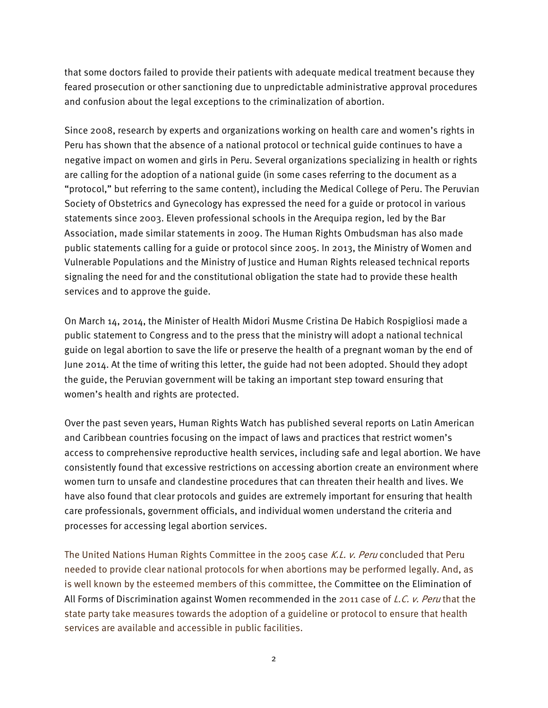that some doctors failed to provide their patients with adequate medical treatment because they feared prosecution or other sanctioning due to unpredictable administrative approval procedures and confusion about the legal exceptions to the criminalization of abortion.

Since 2008, research by experts and organizations working on health care and women's rights in Peru has shown that the absence of a national protocol or technical guide continues to have a negative impact on women and girls in Peru. Several organizations specializing in health or rights are calling for the adoption of a national guide (in some cases referring to the document as a "protocol," but referring to the same content), including the Medical College of Peru. The Peruvian Society of Obstetrics and Gynecology has expressed the need for a guide or protocol in various statements since 2003. Eleven professional schools in the Arequipa region, led by the Bar Association, made similar statements in 2009. The Human Rights Ombudsman has also made public statements calling for a guide or protocol since 2005. In 2013, the Ministry of Women and Vulnerable Populations and the Ministry of Justice and Human Rights released technical reports signaling the need for and the constitutional obligation the state had to provide these health services and to approve the guide.

On March 14, 2014, the Minister of Health Midori Musme Cristina De Habich Rospigliosi made a public statement to Congress and to the press that the ministry will adopt a national technical guide on legal abortion to save the life or preserve the health of a pregnant woman by the end of June 2014. At the time of writing this letter, the guide had not been adopted. Should they adopt the guide, the Peruvian government will be taking an important step toward ensuring that women's health and rights are protected.

Over the past seven years, Human Rights Watch has published several reports on Latin American and Caribbean countries focusing on the impact of laws and practices that restrict women's access to comprehensive reproductive health services, including safe and legal abortion. We have consistently found that excessive restrictions on accessing abortion create an environment where women turn to unsafe and clandestine procedures that can threaten their health and lives. We have also found that clear protocols and guides are extremely important for ensuring that health care professionals, government officials, and individual women understand the criteria and processes for accessing legal abortion services.

The United Nations Human Rights Committee in the 2005 case K.L. v. Peru concluded that Peru needed to provide clear national protocols for when abortions may be performed legally. And, as is well known by the esteemed members of this committee, the Committee on the Elimination of All Forms of Discrimination against Women recommended in the 2011 case of L.C. v. Peru that the state party take measures towards the adoption of a guideline or protocol to ensure that health services are available and accessible in public facilities.